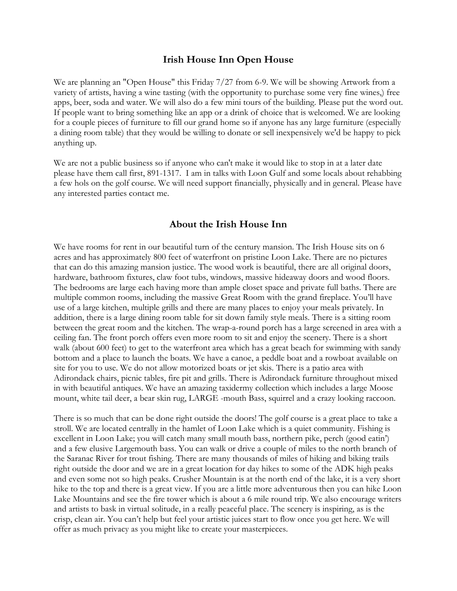## **Irish House Inn Open House**

We are planning an "Open House" this Friday 7/27 from 6-9. We will be showing Artwork from a variety of artists, having a wine tasting (with the opportunity to purchase some very fine wines,) free apps, beer, soda and water. We will also do a few mini tours of the building. Please put the word out. If people want to bring something like an app or a drink of choice that is welcomed. We are looking for a couple pieces of furniture to fill our grand home so if anyone has any large furniture (especially a dining room table) that they would be willing to donate or sell inexpensively we'd be happy to pick anything up.

We are not a public business so if anyone who can't make it would like to stop in at a later date please have them call first, 891-1317. I am in talks with Loon Gulf and some locals about rehabbing a few hols on the golf course. We will need support financially, physically and in general. Please have any interested parties contact me.

## **About the Irish House Inn**

We have rooms for rent in our beautiful turn of the century mansion. The Irish House sits on 6 acres and has approximately 800 feet of waterfront on pristine Loon Lake. There are no pictures that can do this amazing mansion justice. The wood work is beautiful, there are all original doors, hardware, bathroom fixtures, claw foot tubs, windows, massive hideaway doors and wood floors. The bedrooms are large each having more than ample closet space and private full baths. There are multiple common rooms, including the massive Great Room with the grand fireplace. You'll have use of a large kitchen, multiple grills and there are many places to enjoy your meals privately. In addition, there is a large dining room table for sit down family style meals. There is a sitting room between the great room and the kitchen. The wrap-a-round porch has a large screened in area with a ceiling fan. The front porch offers even more room to sit and enjoy the scenery. There is a short walk (about 600 feet) to get to the waterfront area which has a great beach for swimming with sandy bottom and a place to launch the boats. We have a canoe, a peddle boat and a rowboat available on site for you to use. We do not allow motorized boats or jet skis. There is a patio area with Adirondack chairs, picnic tables, fire pit and grills. There is Adirondack furniture throughout mixed in with beautiful antiques. We have an amazing taxidermy collection which includes a large Moose mount, white tail deer, a bear skin rug, LARGE -mouth Bass, squirrel and a crazy looking raccoon.

There is so much that can be done right outside the doors! The golf course is a great place to take a stroll. We are located centrally in the hamlet of Loon Lake which is a quiet community. Fishing is excellent in Loon Lake; you will catch many small mouth bass, northern pike, perch (good eatin') and a few elusive Largemouth bass. You can walk or drive a couple of miles to the north branch of the Saranac River for trout fishing. There are many thousands of miles of hiking and biking trails right outside the door and we are in a great location for day hikes to some of the ADK high peaks and even some not so high peaks. Crusher Mountain is at the north end of the lake, it is a very short hike to the top and there is a great view. If you are a little more adventurous then you can hike Loon Lake Mountains and see the fire tower which is about a 6 mile round trip. We also encourage writers and artists to bask in virtual solitude, in a really peaceful place. The scenery is inspiring, as is the crisp, clean air. You can't help but feel your artistic juices start to flow once you get here. We will offer as much privacy as you might like to create your masterpieces.